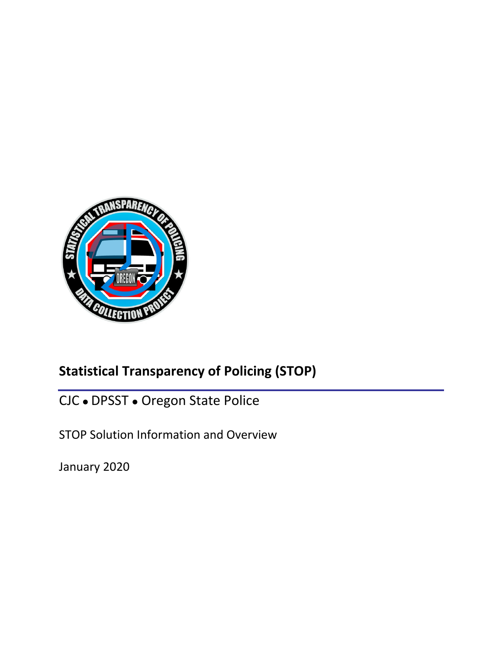

# **Statistical Transparency of Policing (STOP)**

CJC . DPSST . Oregon State Police

STOP Solution Information and Overview

January 2020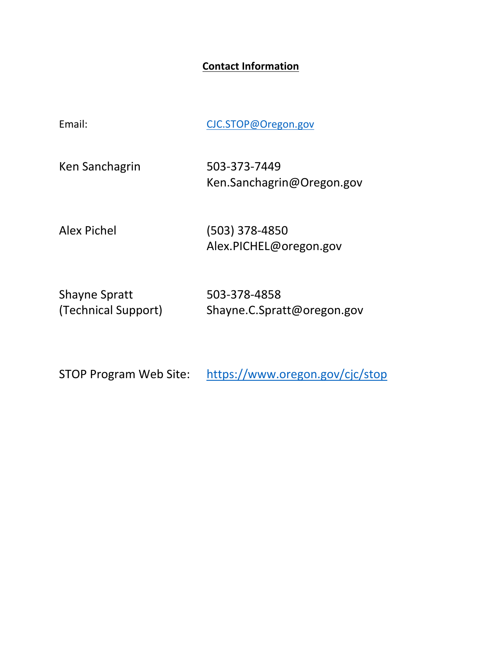### **Contact Information**

| Email:         | CJC.STOP@Oregon.gov                        |
|----------------|--------------------------------------------|
| Ken Sanchagrin | 503-373-7449<br>Ken.Sanchagrin@Oregon.gov  |
| Alex Pichel    | $(503)$ 378-4850<br>Alex.PICHEL@oregon.gov |

Shayne Spratt 503‐378‐4858 Shayne.C.Spratt@oregon.gov

STOP Program Web Site: https://www.oregon.gov/cjc/stop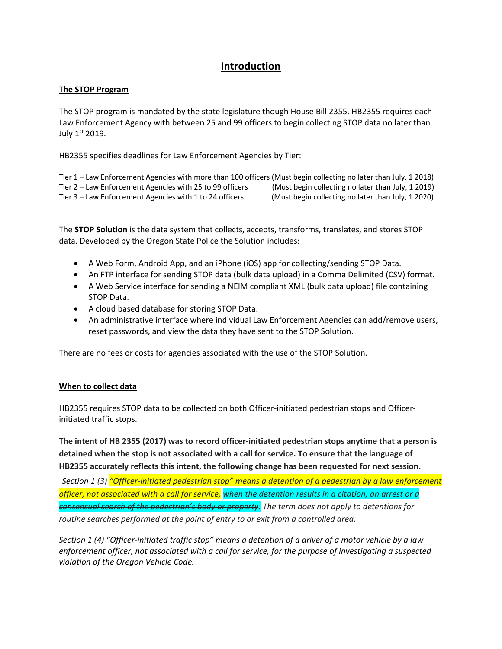### **Introduction**

#### **The STOP Program**

The STOP program is mandated by the state legislature though House Bill 2355. HB2355 requires each Law Enforcement Agency with between 25 and 99 officers to begin collecting STOP data no later than July 1st 2019.

HB2355 specifies deadlines for Law Enforcement Agencies by Tier:

Tier 1 – Law Enforcement Agencies with more than 100 officers (Must begin collecting no later than July, 1 2018) Tier 2 – Law Enforcement Agencies with 25 to 99 officers (Must begin collecting no later than July, 1 2019) Tier 3 – Law Enforcement Agencies with 1 to 24 officers (Must begin collecting no later than July, 1 2020)

The **STOP Solution** is the data system that collects, accepts, transforms, translates, and stores STOP data. Developed by the Oregon State Police the Solution includes:

- A Web Form, Android App, and an iPhone (iOS) app for collecting/sending STOP Data.
- An FTP interface for sending STOP data (bulk data upload) in a Comma Delimited (CSV) format.
- A Web Service interface for sending a NEIM compliant XML (bulk data upload) file containing STOP Data.
- A cloud based database for storing STOP Data.
- An administrative interface where individual Law Enforcement Agencies can add/remove users, reset passwords, and view the data they have sent to the STOP Solution.

There are no fees or costs for agencies associated with the use of the STOP Solution.

#### **When to collect data**

HB2355 requires STOP data to be collected on both Officer-initiated pedestrian stops and Officerinitiated traffic stops.

The intent of HB 2355 (2017) was to record officer-initiated pedestrian stops anytime that a person is **detained when the stop is not associated with a call for service. To ensure that the language of HB2355 accurately reflects this intent, the following change has been requested for next session.**

Section 1 (3) "Officer-initiated pedestrian stop" means a detention of a pedestrian by a law enforcement officer, not associated with a call for service<del>, when the detention results in a citation, an arrest or a</del> *consensual search of the pedestrian's body or property. The term does not apply to detentions for routine searches performed at the point of entry to or exit from a controlled area.*

Section 1 (4) "Officer-initiated traffic stop" means a detention of a driver of a motor vehicle by a law *enforcement officer, not associated with a call for service, for the purpose of investigating a suspected violation of the Oregon Vehicle Code.*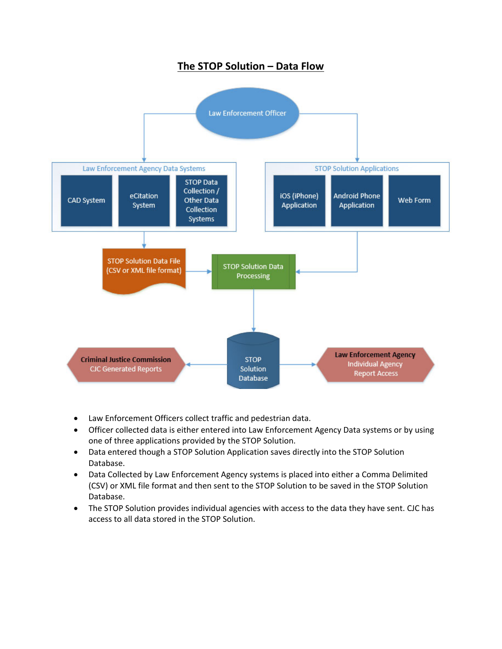### **The STOP Solution – Data Flow**



- Law Enforcement Officers collect traffic and pedestrian data.
- Officer collected data is either entered into Law Enforcement Agency Data systems or by using one of three applications provided by the STOP Solution.
- Data entered though a STOP Solution Application saves directly into the STOP Solution Database.
- Data Collected by Law Enforcement Agency systems is placed into either a Comma Delimited (CSV) or XML file format and then sent to the STOP Solution to be saved in the STOP Solution Database.
- The STOP Solution provides individual agencies with access to the data they have sent. CJC has access to all data stored in the STOP Solution.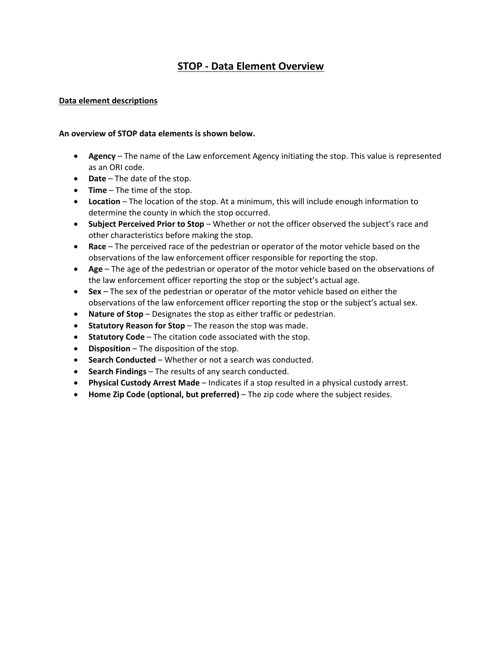### **STOP ‐ Data Element Overview**

#### **Data element descriptions**

#### **An overview of STOP data elements is shown below.**

- **Agency** The name of the Law enforcement Agency initiating the stop. This value is represented as an ORI code.
- **Date** The date of the stop.
- **Time** The time of the stop.
- **Location** The location of the stop. At a minimum, this will include enough information to determine the county in which the stop occurred.
- **Subject Perceived Prior to Stop** Whether or not the officer observed the subject's race and other characteristics before making the stop.
- **Race** The perceived race of the pedestrian or operator of the motor vehicle based on the observations of the law enforcement officer responsible for reporting the stop.
- **Age** The age of the pedestrian or operator of the motor vehicle based on the observations of the law enforcement officer reporting the stop or the subject's actual age.
- **Sex** The sex of the pedestrian or operator of the motor vehicle based on either the observations of the law enforcement officer reporting the stop or the subject's actual sex.
- **Nature of Stop** Designates the stop as either traffic or pedestrian.
- **Statutory Reason for Stop** The reason the stop was made.
- **Statutory Code** The citation code associated with the stop.
- **Disposition** The disposition of the stop.
- **Search Conducted** Whether or not a search was conducted.
- **Search Findings** The results of any search conducted.
- **Physical Custody Arrest Made** Indicates if a stop resulted in a physical custody arrest.
- **Home Zip Code (optional, but preferred)** The zip code where the subject resides.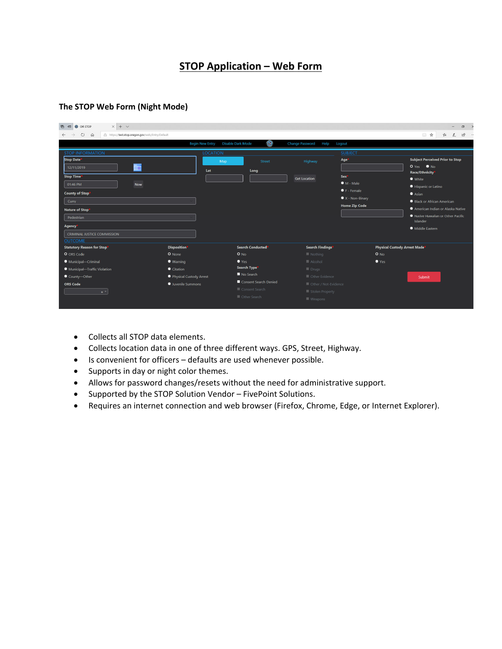### **STOP Application – Web Form**

#### **The STOP Web Form (Night Mode)**

| $\times$ + $\sim$<br>后<br>OR STOP<br>$\blacksquare$<br>⊜.                                                                                                                                                                                                       |                                                                                                      |                                                                                                                                                        |                                                                                                                                                       |                                                                                                                                        | $\sigma$<br>$\rightarrow$                                                                                                                                                                                                                                                 |
|-----------------------------------------------------------------------------------------------------------------------------------------------------------------------------------------------------------------------------------------------------------------|------------------------------------------------------------------------------------------------------|--------------------------------------------------------------------------------------------------------------------------------------------------------|-------------------------------------------------------------------------------------------------------------------------------------------------------|----------------------------------------------------------------------------------------------------------------------------------------|---------------------------------------------------------------------------------------------------------------------------------------------------------------------------------------------------------------------------------------------------------------------------|
| $\circ$<br>$\hat{m}$<br>A https://test.stop.oregon.gov/web/Entry/Default                                                                                                                                                                                        |                                                                                                      |                                                                                                                                                        |                                                                                                                                                       |                                                                                                                                        | $\mathfrak{B}$ .<br>□ ☆<br>$\mathbb{Z}$<br>ਇ                                                                                                                                                                                                                              |
|                                                                                                                                                                                                                                                                 | <b>Begin New Entry</b>                                                                               | $\bullet$<br><b>Disable Dark Mode</b>                                                                                                                  | <b>Change Password</b><br>Help                                                                                                                        | Logout                                                                                                                                 |                                                                                                                                                                                                                                                                           |
| <b>STOP INFORMATION</b><br>Stop Date <sup>®</sup><br><b>HH</b><br>12/11/2019<br><b>Stop Time</b><br>01:46 PM<br><b>Now</b><br><b>County of Stop*</b><br>Curry<br>Nature of Stop<br>Pedestrian<br><b>Agency</b><br>CRIMINAL JUSTICE COMMISSION<br><b>OUTCOME</b> | <b>LOCATION</b><br>Lat                                                                               | Map<br>Street<br>Long                                                                                                                                  | Highway<br><b>Get Location</b>                                                                                                                        | <b>SUBJECT</b><br>Age <sup>*</sup><br>Sex <sup>*</sup><br>$M - Male$<br>F - Female<br>$\bullet$ X - Non-Binary<br><b>Home Zip Code</b> | <b>Subject Perceived Prior to Stop</b><br>$O Yes$ $N_O$<br><b>Race/Ethnicity</b><br>• White<br>Hispanic or Latino<br>$\bullet$ Asian<br>Black or African American<br>American Indian or Alaska Native<br>Native Hawaiian or Other Pacific<br>Islander<br>• Middle Eastern |
| <b>Statutory Reason for Stop</b><br>O ORS Code<br>Municipal-Criminal<br>• Municipal-Traffic Violation<br>County-Other<br><b>ORS Code</b><br>$x$ $+$                                                                                                             | <b>Disposition</b><br>O None<br>● Warning<br>Citation<br>Physical Custody Arrest<br>Juvenile Summons | <b>Search Conducted</b><br>$O$ No<br>$\bullet$ Yes<br>Search Type <sup>®</sup><br>No Search<br>Consent Search Denied<br>Consent Search<br>Other Search | Search Findings*<br>$\blacksquare$ Nothing<br>Alcohol<br>$\blacksquare$ Drugs<br>Other Evidence<br>Other / Not-Evidence<br>Stolen Property<br>Weapons | <b>Physical Custody Arrest Made<sup>*</sup></b><br>$O$ No<br>$\bullet$ Yes                                                             | Submit                                                                                                                                                                                                                                                                    |

- Collects all STOP data elements.
- Collects location data in one of three different ways. GPS, Street, Highway.
- Is convenient for officers defaults are used whenever possible.
- Supports in day or night color themes.
- Allows for password changes/resets without the need for administrative support.
- Supported by the STOP Solution Vendor FivePoint Solutions.
- Requires an internet connection and web browser (Firefox, Chrome, Edge, or Internet Explorer).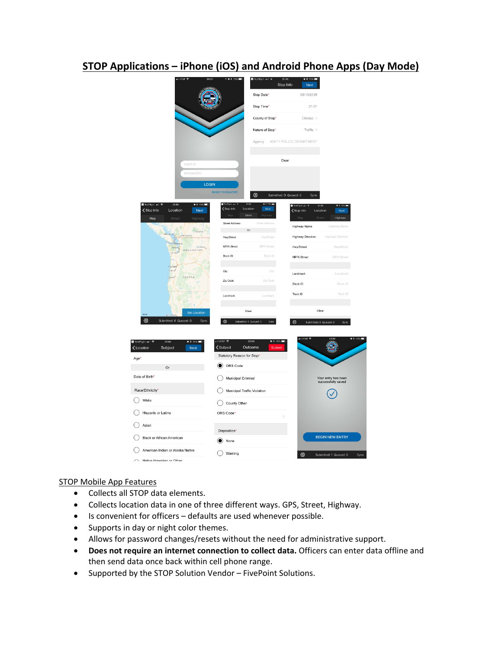### **STOP Applications – iPhone (iOS) and Android Phone Apps (Day Mode)**



#### STOP Mobile App Features

- Collects all STOP data elements.
- Collects location data in one of three different ways. GPS, Street, Highway.
- Is convenient for officers defaults are used whenever possible.
- Supports in day or night color themes.
- Allows for password changes/resets without the need for administrative support.
- **Does not require an internet connection to collect data.** Officers can enter data offline and then send data once back within cell phone range.
- Supported by the STOP Solution Vendor FivePoint Solutions.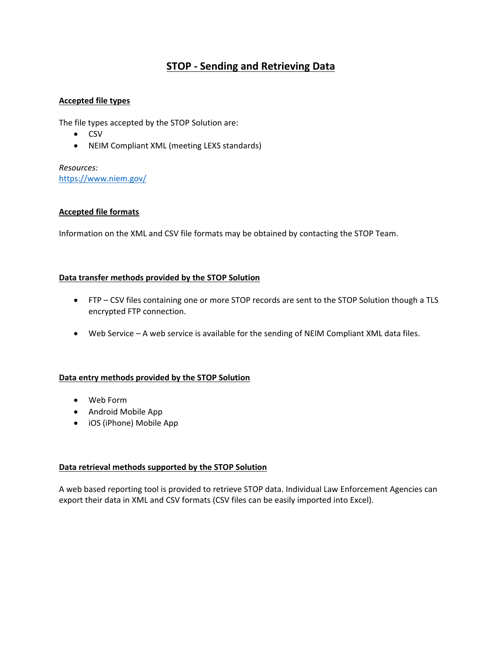### **STOP ‐ Sending and Retrieving Data**

#### **Accepted file types**

The file types accepted by the STOP Solution are:

- CSV
- NEIM Compliant XML (meeting LEXS standards)

*Resources:*  https://www.niem.gov/

#### **Accepted file formats**

Information on the XML and CSV file formats may be obtained by contacting the STOP Team.

#### **Data transfer methods provided by the STOP Solution**

- FTP CSV files containing one or more STOP records are sent to the STOP Solution though a TLS encrypted FTP connection.
- Web Service A web service is available for the sending of NEIM Compliant XML data files.

#### **Data entry methods provided by the STOP Solution**

- Web Form
- Android Mobile App
- iOS (iPhone) Mobile App

#### **Data retrieval methods supported by the STOP Solution**

A web based reporting tool is provided to retrieve STOP data. Individual Law Enforcement Agencies can export their data in XML and CSV formats (CSV files can be easily imported into Excel).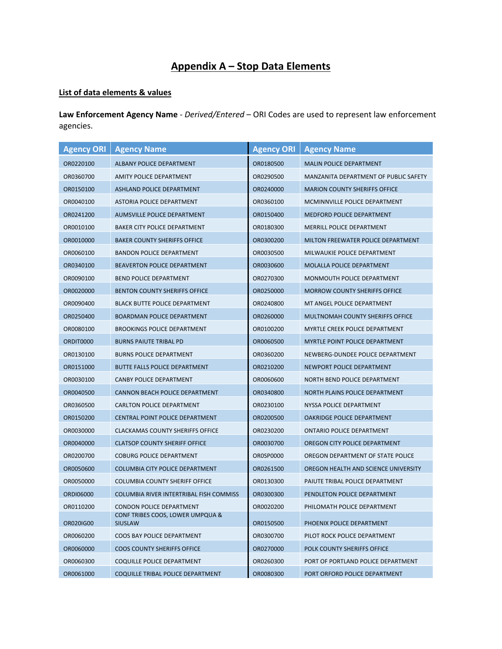## **Appendix A – Stop Data Elements**

### **List of data elements & values**

**Law Enforcement Agency Name** ‐ *Derived/Entered* – ORI Codes are used to represent law enforcement agencies.

| <b>Agency ORI</b> | <b>Agency Name</b>                                 | <b>Agency ORI</b> | <b>Agency Name</b>                    |
|-------------------|----------------------------------------------------|-------------------|---------------------------------------|
| OR0220100         | ALBANY POLICE DEPARTMENT                           | OR0180500         | <b>MALIN POLICE DEPARTMENT</b>        |
| OR0360700         | AMITY POLICE DEPARTMENT                            | OR0290500         | MANZANITA DEPARTMENT OF PUBLIC SAFETY |
| OR0150100         | <b>ASHLAND POLICE DEPARTMENT</b>                   | OR0240000         | <b>MARION COUNTY SHERIFFS OFFICE</b>  |
| OR0040100         | ASTORIA POLICE DEPARTMENT                          | OR0360100         | MCMINNVILLE POLICE DEPARTMENT         |
| OR0241200         | AUMSVILLE POLICE DEPARTMENT                        | OR0150400         | <b>MEDFORD POLICE DEPARTMENT</b>      |
| OR0010100         | <b>BAKER CITY POLICE DEPARTMENT</b>                | OR0180300         | <b>MERRILL POLICE DEPARTMENT</b>      |
| OR0010000         | <b>BAKER COUNTY SHERIFFS OFFICE</b>                | OR0300200         | MILTON FREEWATER POLICE DEPARTMENT    |
| OR0060100         | <b>BANDON POLICE DEPARTMENT</b>                    | OR0030500         | MILWAUKIE POLICE DEPARTMENT           |
| OR0340100         | <b>BEAVERTON POLICE DEPARTMENT</b>                 | OR0030600         | <b>MOLALLA POLICE DEPARTMENT</b>      |
| OR0090100         | BEND POLICE DEPARTMENT                             | OR0270300         | MONMOUTH POLICE DEPARTMENT            |
| OR0020000         | <b>BENTON COUNTY SHERIFFS OFFICE</b>               | OR0250000         | <b>MORROW COUNTY SHERIFFS OFFICE</b>  |
| OR0090400         | <b>BLACK BUTTE POLICE DEPARTMENT</b>               | OR0240800         | MT ANGEL POLICE DEPARTMENT            |
| OR0250400         | <b>BOARDMAN POLICE DEPARTMENT</b>                  | OR0260000         | MULTNOMAH COUNTY SHERIFFS OFFICE      |
| OR0080100         | <b>BROOKINGS POLICE DEPARTMENT</b>                 | OR0100200         | MYRTLE CREEK POLICE DEPARTMENT        |
| ORDIT0000         | <b>BURNS PAIUTE TRIBAL PD</b>                      | OR0060500         | MYRTLE POINT POLICE DEPARTMENT        |
| OR0130100         | <b>BURNS POLICE DEPARTMENT</b>                     | OR0360200         | NEWBERG-DUNDEE POLICE DEPARTMENT      |
| OR0151000         | <b>BUTTE FALLS POLICE DEPARTMENT</b>               | OR0210200         | NEWPORT POLICE DEPARTMENT             |
| OR0030100         | <b>CANBY POLICE DEPARTMENT</b>                     | OR0060600         | NORTH BEND POLICE DEPARTMENT          |
| OR0040500         | <b>CANNON BEACH POLICE DEPARTMENT</b>              | OR0340800         | NORTH PLAINS POLICE DEPARTMENT        |
| OR0360500         | <b>CARLTON POLICE DEPARTMENT</b>                   |                   | NYSSA POLICE DEPARTMENT               |
| OR0150200         | <b>CENTRAL POINT POLICE DEPARTMENT</b>             |                   | OAKRIDGE POLICE DEPARTMENT            |
| OR0030000         | <b>CLACKAMAS COUNTY SHERIFFS OFFICE</b>            | OR0230200         | <b>ONTARIO POLICE DEPARTMENT</b>      |
| OR0040000         | <b>CLATSOP COUNTY SHERIFF OFFICE</b>               | OR0030700         | OREGON CITY POLICE DEPARTMENT         |
| OR0200700         | <b>COBURG POLICE DEPARTMENT</b>                    | OR0SP0000         | OREGON DEPARTMENT OF STATE POLICE     |
| OR0050600         | COLUMBIA CITY POLICE DEPARTMENT                    | OR0261500         | OREGON HEALTH AND SCIENCE UNIVERSITY  |
| OR0050000         | <b>COLUMBIA COUNTY SHERIFF OFFICE</b>              | OR0130300         | PAIUTE TRIBAL POLICE DEPARTMENT       |
| ORDI06000         | COLUMBIA RIVER INTERTRIBAL FISH COMMISS            | OR0300300         | PENDLETON POLICE DEPARTMENT           |
| OR0110200         | <b>CONDON POLICE DEPARTMENT</b>                    | OR0020200         | PHILOMATH POLICE DEPARTMENT           |
| OR020IG00         | CONF TRIBES COOS, LOWER UMPQUA &<br><b>SIUSLAW</b> | OR0150500         | PHOENIX POLICE DEPARTMENT             |
| OR0060200         | COOS BAY POLICE DEPARTMENT                         | OR0300700         | PILOT ROCK POLICE DEPARTMENT          |
| OR0060000         | <b>COOS COUNTY SHERIFFS OFFICE</b>                 | OR0270000         | POLK COUNTY SHERIFFS OFFICE           |
| OR0060300         | COQUILLE POLICE DEPARTMENT                         | OR0260300         | PORT OF PORTLAND POLICE DEPARTMENT    |
| OR0061000         | COQUILLE TRIBAL POLICE DEPARTMENT                  | OR0080300         | PORT ORFORD POLICE DEPARTMENT         |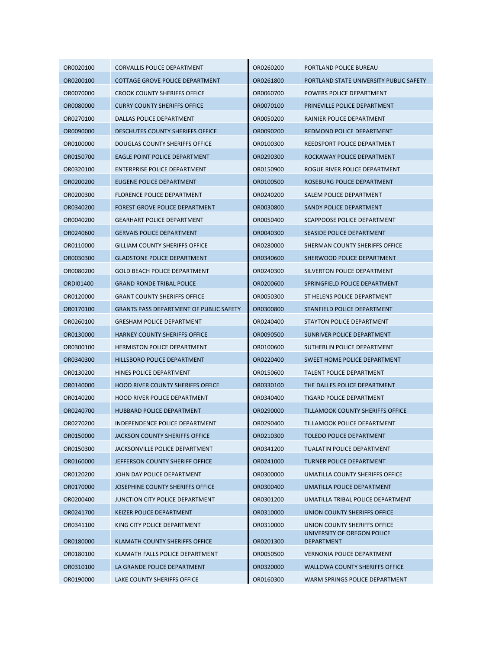| OR0020100 | <b>CORVALLIS POLICE DEPARTMENT</b>             | OR0260200 | PORTLAND POLICE BUREAU                           |
|-----------|------------------------------------------------|-----------|--------------------------------------------------|
| OR0200100 | <b>COTTAGE GROVE POLICE DEPARTMENT</b>         | OR0261800 | PORTLAND STATE UNIVERSITY PUBLIC SAFETY          |
| OR0070000 | <b>CROOK COUNTY SHERIFFS OFFICE</b>            | OR0060700 | POWERS POLICE DEPARTMENT                         |
| OR0080000 | <b>CURRY COUNTY SHERIFFS OFFICE</b>            | OR0070100 | PRINEVILLE POLICE DEPARTMENT                     |
| OR0270100 | DALLAS POLICE DEPARTMENT                       | OR0050200 | RAINIER POLICE DEPARTMENT                        |
| OR0090000 | <b>DESCHUTES COUNTY SHERIFFS OFFICE</b>        | OR0090200 | REDMOND POLICE DEPARTMENT                        |
| OR0100000 | DOUGLAS COUNTY SHERIFFS OFFICE                 | OR0100300 | REEDSPORT POLICE DEPARTMENT                      |
| OR0150700 | EAGLE POINT POLICE DEPARTMENT                  | OR0290300 | ROCKAWAY POLICE DEPARTMENT                       |
| OR0320100 | ENTERPRISE POLICE DEPARTMENT                   | OR0150900 | ROGUE RIVER POLICE DEPARTMENT                    |
| OR0200200 | EUGENE POLICE DEPARTMENT                       | OR0100500 | ROSEBURG POLICE DEPARTMENT                       |
| OR0200300 | <b>FLORENCE POLICE DEPARTMENT</b>              | OR0240200 | SALEM POLICE DEPARTMENT                          |
| OR0340200 | FOREST GROVE POLICE DEPARTMENT                 | OR0030800 | SANDY POLICE DEPARTMENT                          |
| OR0040200 | <b>GEARHART POLICE DEPARTMENT</b>              | OR0050400 | SCAPPOOSE POLICE DEPARTMENT                      |
| OR0240600 | <b>GERVAIS POLICE DEPARTMENT</b>               | OR0040300 | SEASIDE POLICE DEPARTMENT                        |
| OR0110000 | <b>GILLIAM COUNTY SHERIFFS OFFICE</b>          | OR0280000 | SHERMAN COUNTY SHERIFFS OFFICE                   |
| OR0030300 | <b>GLADSTONE POLICE DEPARTMENT</b>             | OR0340600 | SHERWOOD POLICE DEPARTMENT                       |
| OR0080200 | <b>GOLD BEACH POLICE DEPARTMENT</b>            | OR0240300 | SILVERTON POLICE DEPARTMENT                      |
| ORDI01400 | <b>GRAND RONDE TRIBAL POLICE</b>               | OR0200600 | SPRINGFIELD POLICE DEPARTMENT                    |
| OR0120000 | <b>GRANT COUNTY SHERIFFS OFFICE</b>            | OR0050300 | ST HELENS POLICE DEPARTMENT                      |
| OR0170100 | <b>GRANTS PASS DEPARTMENT OF PUBLIC SAFETY</b> | OR0300800 | STANFIELD POLICE DEPARTMENT                      |
| OR0260100 | <b>GRESHAM POLICE DEPARTMENT</b>               | OR0240400 | STAYTON POLICE DEPARTMENT                        |
| OR0130000 | HARNEY COUNTY SHERIFFS OFFICE                  | OR0090500 | SUNRIVER POLICE DEPARTMENT                       |
| OR0300100 | <b>HERMISTON POLICE DEPARTMENT</b>             | OR0100600 | SUTHERLIN POLICE DEPARTMENT                      |
| OR0340300 | HILLSBORO POLICE DEPARTMENT                    | OR0220400 | SWEET HOME POLICE DEPARTMENT                     |
| OR0130200 | HINES POLICE DEPARTMENT                        | OR0150600 | <b>TALENT POLICE DEPARTMENT</b>                  |
| OR0140000 | <b>HOOD RIVER COUNTY SHERIFFS OFFICE</b>       | OR0330100 | THE DALLES POLICE DEPARTMENT                     |
| OR0140200 | <b>HOOD RIVER POLICE DEPARTMENT</b>            | OR0340400 | TIGARD POLICE DEPARTMENT                         |
| OR0240700 | HUBBARD POLICE DEPARTMENT                      | OR0290000 | TILLAMOOK COUNTY SHERIFFS OFFICE                 |
| OR0270200 | INDEPENDENCE POLICE DEPARTMENT                 | OR0290400 | TILLAMOOK POLICE DEPARTMENT                      |
| OR0150000 | JACKSON COUNTY SHERIFFS OFFICE                 | OR0210300 | <b>TOLEDO POLICE DEPARTMENT</b>                  |
| OR0150300 | <b>JACKSONVILLE POLICE DEPARTMENT</b>          | OR0341200 | <b>TUALATIN POLICE DEPARTMENT</b>                |
| OR0160000 | JEFFERSON COUNTY SHERIFF OFFICE                | OR0241000 | <b>TURNER POLICE DEPARTMENT</b>                  |
| OR0120200 | JOHN DAY POLICE DEPARTMENT                     | OR0300000 | UMATILLA COUNTY SHERIFFS OFFICE                  |
| OR0170000 | JOSEPHINE COUNTY SHERIFFS OFFICE               | OR0300400 | UMATILLA POLICE DEPARTMENT                       |
| OR0200400 | JUNCTION CITY POLICE DEPARTMENT                | OR0301200 | UMATILLA TRIBAL POLICE DEPARTMENT                |
| OR0241700 | <b>KEIZER POLICE DEPARTMENT</b>                | OR0310000 | UNION COUNTY SHERIFFS OFFICE                     |
| OR0341100 | KING CITY POLICE DEPARTMENT                    | OR0310000 | UNION COUNTY SHERIFFS OFFICE                     |
| OR0180000 | KLAMATH COUNTY SHERIFFS OFFICE                 | OR0201300 | UNIVERSITY OF OREGON POLICE<br><b>DEPARTMENT</b> |
| OR0180100 | KLAMATH FALLS POLICE DEPARTMENT                | OR0050500 | <b>VERNONIA POLICE DEPARTMENT</b>                |
| OR0310100 | LA GRANDE POLICE DEPARTMENT                    | OR0320000 | <b>WALLOWA COUNTY SHERIFFS OFFICE</b>            |
| OR0190000 | LAKE COUNTY SHERIFFS OFFICE                    | OR0160300 | WARM SPRINGS POLICE DEPARTMENT                   |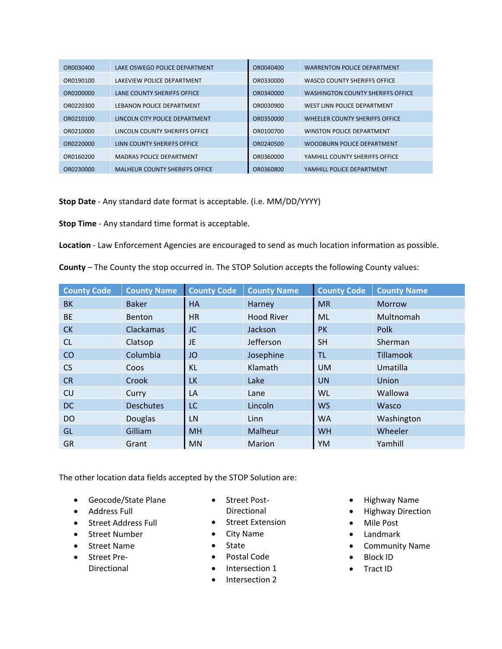| OR0030400 | LAKE OSWEGO POLICE DEPARTMENT         | OR0040400 | <b>WARRENTON POLICE DEPARTMENT</b>       |
|-----------|---------------------------------------|-----------|------------------------------------------|
| OR0190100 | LAKEVIEW POLICE DEPARTMENT            | OR0330000 | WASCO COUNTY SHERIFFS OFFICE             |
| OR0200000 | LANE COUNTY SHERIFFS OFFICE           | OR0340000 | <b>WASHINGTON COUNTY SHERIFFS OFFICE</b> |
| OR0220300 | LEBANON POLICE DEPARTMENT             | OR0030900 | WEST LINN POLICE DEPARTMENT              |
| OR0210100 | LINCOLN CITY POLICE DEPARTMENT        | OR0350000 | WHEELER COUNTY SHERIFFS OFFICE           |
| OR0210000 | LINCOLN COUNTY SHERIFFS OFFICE        | OR0100700 | WINSTON POLICE DEPARTMENT                |
| OR0220000 | LINN COUNTY SHERIFFS OFFICE           | OR0240500 | <b>WOODBURN POLICE DEPARTMENT</b>        |
| OR0160200 | <b>MADRAS POLICE DEPARTMENT</b>       | OR0360000 | YAMHILL COUNTY SHERIFFS OFFICE           |
| OR0230000 | <b>MALHEUR COUNTY SHERIFFS OFFICE</b> | OR0360800 | YAMHILL POLICE DEPARTMENT                |

**Stop Date** ‐ Any standard date format is acceptable. (i.e. MM/DD/YYYY)

**Stop Time** ‐ Any standard time format is acceptable.

**Location** ‐ Law Enforcement Agencies are encouraged to send as much location information as possible.

**County** – The County the stop occurred in. The STOP Solution accepts the following County values:

| <b>County Code</b> | <b>County Name</b> | <b>County Code</b> | <b>County Name</b> | <b>County Code</b> | <b>County Name</b> |
|--------------------|--------------------|--------------------|--------------------|--------------------|--------------------|
| BK                 | <b>Baker</b>       | <b>HA</b>          | Harney             | <b>MR</b>          | <b>Morrow</b>      |
| <b>BE</b>          | Benton             | <b>HR</b>          | <b>Hood River</b>  | <b>ML</b>          | Multnomah          |
| <b>CK</b>          | Clackamas          | JC                 | Jackson            | <b>PK</b>          | Polk               |
| <sub>CL</sub>      | Clatsop            | JE                 | Jefferson          | <b>SH</b>          | Sherman            |
| CO                 | Columbia           | JO                 | Josephine          | TL.                | Tillamook          |
| <b>CS</b>          | Coos               | <b>KL</b>          | Klamath            | <b>UM</b>          | Umatilla           |
| <b>CR</b>          | Crook              | <b>LK</b>          | Lake               | <b>UN</b>          | Union              |
| <b>CU</b>          | Curry              | LA                 | Lane               | WL                 | Wallowa            |
| <b>DC</b>          | <b>Deschutes</b>   | LC                 | Lincoln            | <b>WS</b>          | Wasco              |
| <b>DO</b>          | Douglas            | LN                 | Linn               | <b>WA</b>          | Washington         |
| GL                 | Gilliam            | <b>MH</b>          | Malheur            | <b>WH</b>          | Wheeler            |
| <b>GR</b>          | Grant              | <b>MN</b>          | Marion             | YM                 | Yamhill            |

The other location data fields accepted by the STOP Solution are:

- Geocode/State Plane
- Address Full
- Street Address Full
- Street Number
- Street Name
- Street Pre-
	- Directional
- Street Post-Directional
- **•** Street Extension
- City Name
- State
- Postal Code
- Intersection 1
- Intersection 2
- Highway Name
- Highway Direction
- Mile Post
- Landmark
- Community Name
- Block ID
- Tract ID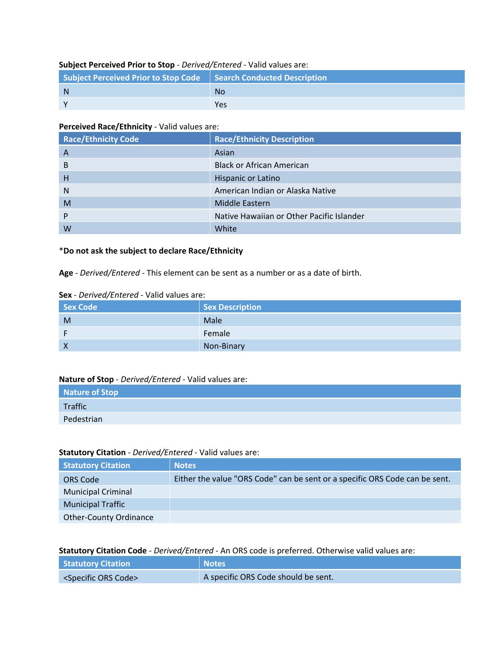#### **Subject Perceived Prior to Stop** ‐ *Derived/Entered* ‐ Valid values are:

| Subject Perceived Prior to Stop Code   Search Conducted Description |           |
|---------------------------------------------------------------------|-----------|
| $\mathsf{N}$                                                        | <b>No</b> |
|                                                                     | Yes       |

#### **Perceived Race/Ethnicity** ‐ Valid values are:

| <b>Race/Ethnicity Code</b> | <b>Race/Ethnicity Description</b>         |
|----------------------------|-------------------------------------------|
| A                          | Asian                                     |
| B                          | <b>Black or African American</b>          |
| Н                          | Hispanic or Latino                        |
| N                          | American Indian or Alaska Native          |
| M                          | Middle Eastern                            |
| P                          | Native Hawaiian or Other Pacific Islander |
| W                          | White                                     |

#### \***Do not ask the subject to declare Race/Ethnicity**

**Age** ‐ *Derived/Entered* ‐ This element can be sent as a number or as a date of birth.

#### **Sex** ‐ *Derived/Entered* ‐ Valid values are:

| Sex Code | <b>Sex Description</b> |
|----------|------------------------|
| M        | Male                   |
|          | Female                 |
| Χ        | Non-Binary             |

#### **Nature of Stop** ‐ *Derived/Entered* ‐ Valid values are:

| Nature of Stop |  |
|----------------|--|
| Traffic        |  |
| Pedestrian     |  |

#### **Statutory Citation** ‐ *Derived/Entered* ‐ Valid values are:

| <b>Statutory Citation</b>     | <b>Notes</b>                                                                |
|-------------------------------|-----------------------------------------------------------------------------|
| ORS Code                      | Either the value "ORS Code" can be sent or a specific ORS Code can be sent. |
| <b>Municipal Criminal</b>     |                                                                             |
| <b>Municipal Traffic</b>      |                                                                             |
| <b>Other-County Ordinance</b> |                                                                             |

#### **Statutory Citation Code** ‐ *Derived/Entered* ‐ An ORS code is preferred. Otherwise valid values are:

| <b>Statutory Citation</b>            | Notes <sup>1</sup>                  |
|--------------------------------------|-------------------------------------|
| <specific code="" ors=""></specific> | A specific ORS Code should be sent. |